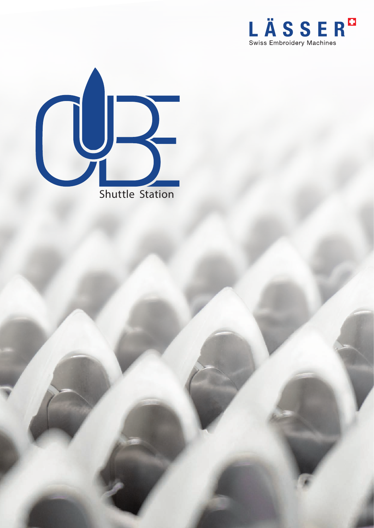

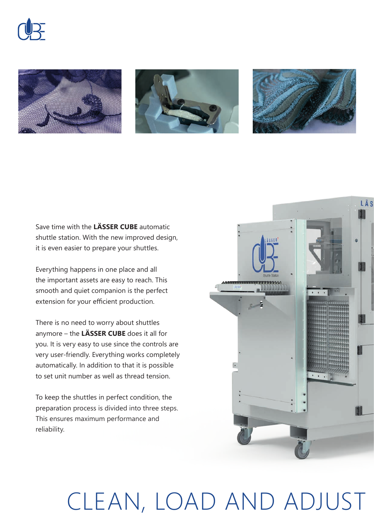







Save time with the **LÄSSER CUBE** automatic shuttle station. With the new improved design, it is even easier to prepare your shuttles.

Everything happens in one place and all the important assets are easy to reach. This smooth and quiet companion is the perfect extension for your efficient production.

There is no need to worry about shuttles anymore – the **LÄSSER CUBE** does it all for you. It is very easy to use since the controls are very user-friendly. Everything works completely automatically. In addition to that it is possible to set unit number as well as thread tension.

To keep the shuttles in perfect condition, the preparation process is divided into three steps. This ensures maximum performance and reliability.



## CLEAN, LOAD AND ADJUST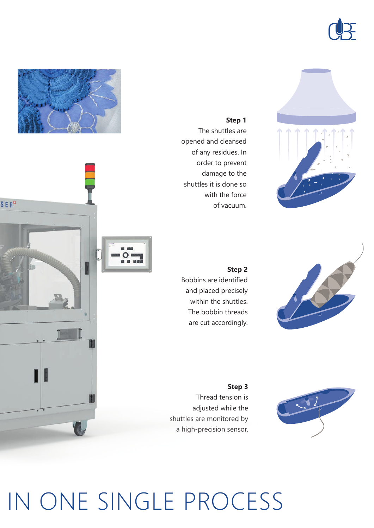







## **Step 1**

The shuttles are opened and cleansed of any residues. In order to prevent damage to the shuttles it is done so with the force of vacuum.

**Step 2** Bobbins are identified and placed precisely within the shuttles. The bobbin threads are cut accordingly.

**Step 3** Thread tension is adjusted while the shuttles are monitored by a high-precision sensor.



## IN ONE SINGLE PROCESS